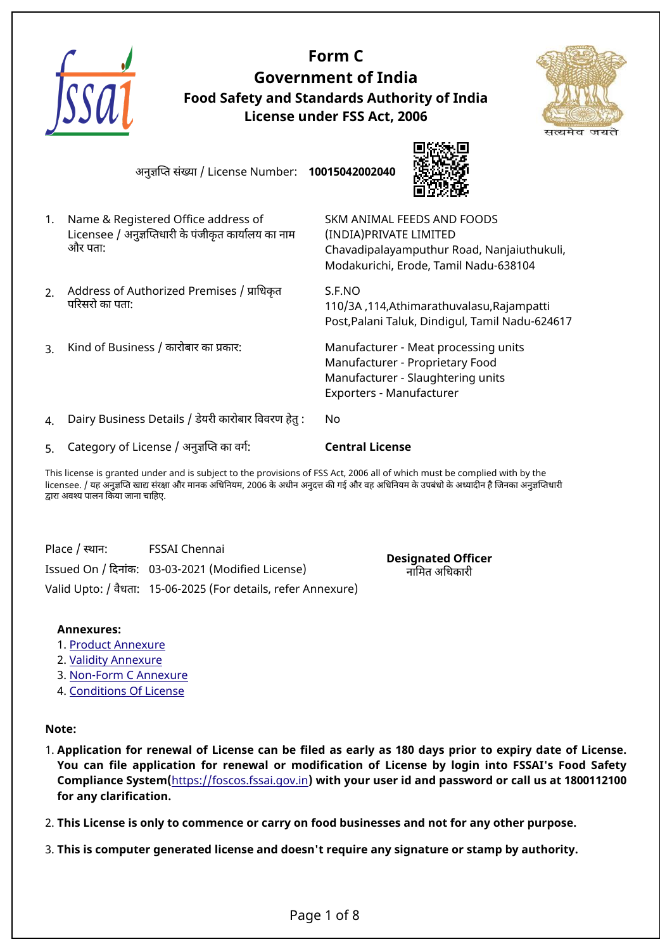

This license is granted under and is subject to the provisions of FSS Act, 2006 all of which must be complied with by the licensee. / यह अनुज्ञप्ति खाद्य संरक्षा और मानक अधिनियम, 2006 के अधीन अनुदत्त की गई और वह अधिनियम के उपबंधो के अध्यादीन है जिनका अनुज्ञप्तिधारी दारा अवशय पालन िकया जाना चािहए.

Place / स्थान: FSSAI Chennai Issued On / िदनांक: 03-03-2021 (Modified License) Valid Upto: / वैधता: 15-06-2025 (For details, refer Annexure)

**Designated Officer** नािमत अिधकारी

#### **Annexures:**

- 1. [Product Annexure](#page-1-0)
- 2. [Validity Annexure](#page-4-0)
- 3. [Non-Form C Annexure](#page-5-0)
- 4. [Conditions Of License](#page-6-0)

## **Note:**

1. **Application for renewal of License can be filed as early as 180 days prior to expiry date of License. You can file application for renewal or modification of License by login into FSSAI's Food Safety Compliance System(**<https://foscos.fssai.gov.in>**) with your user id and password or call us at 1800112100 for any clarification.**

2. **This License is only to commence or carry on food businesses and not for any other purpose.**

3. **This is computer generated license and doesn't require any signature or stamp by authority.**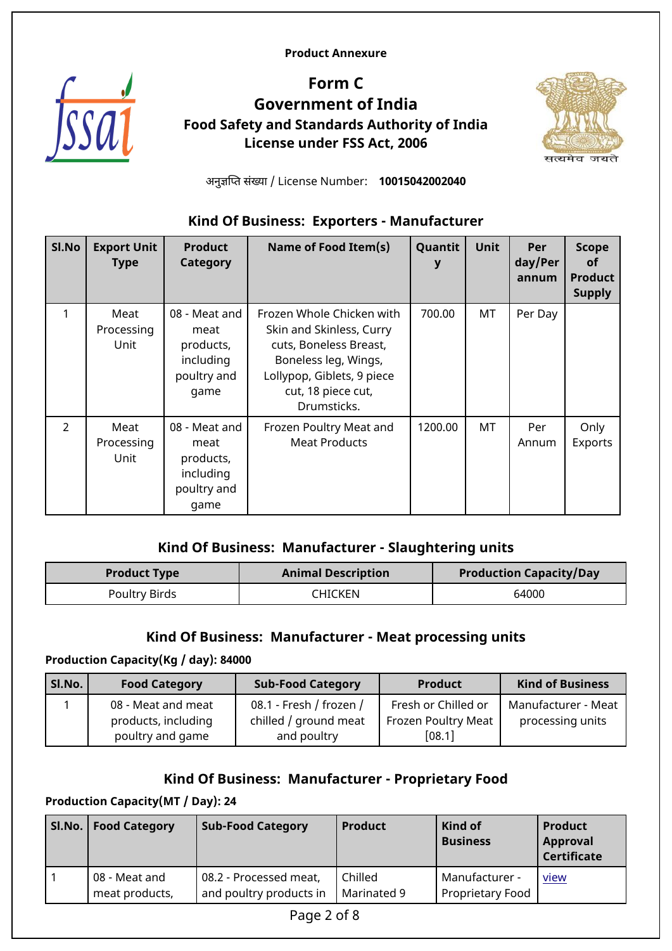<span id="page-1-0"></span>**Product Annexure**



# **Form C Government of India Food Safety and Standards Authority of India License under FSS Act, 2006**



अनुजिपत संखया / License Number: **10015042002040**

# **Kind Of Business: Exporters - Manufacturer**

| Sl.No          | <b>Export Unit</b><br><b>Type</b> | <b>Product</b><br>Category                                             | Name of Food Item(s)                                                                                                                                                       | Quantit<br>у | Unit | Per<br>day/Per<br>annum | <b>Scope</b><br><b>of</b><br><b>Product</b><br><b>Supply</b> |
|----------------|-----------------------------------|------------------------------------------------------------------------|----------------------------------------------------------------------------------------------------------------------------------------------------------------------------|--------------|------|-------------------------|--------------------------------------------------------------|
| 1              | Meat<br>Processing<br>Unit        | 08 - Meat and<br>meat<br>products,<br>including<br>poultry and<br>game | Frozen Whole Chicken with<br>Skin and Skinless, Curry<br>cuts, Boneless Breast,<br>Boneless leg, Wings,<br>Lollypop, Giblets, 9 piece<br>cut, 18 piece cut,<br>Drumsticks. | 700.00       | МT   | Per Day                 |                                                              |
| $\overline{2}$ | Meat<br>Processing<br>Unit        | 08 - Meat and<br>meat<br>products,<br>including<br>poultry and<br>game | Frozen Poultry Meat and<br><b>Meat Products</b>                                                                                                                            | 1200.00      | MT   | Per<br>Annum            | Only<br>Exports                                              |

## **Kind Of Business: Manufacturer - Slaughtering units**

| <b>Product Type</b> | <b>Animal Description</b> | <b>Production Capacity/Day</b> |
|---------------------|---------------------------|--------------------------------|
| Poultry Birds       | CHICKEN                   | 64000                          |

## **Kind Of Business: Manufacturer - Meat processing units**

#### **Production Capacity(Kg / day): 84000**

| SI.No. | <b>Food Category</b>                                          | <b>Sub-Food Category</b>                                        | <b>Product</b>                                       | <b>Kind of Business</b>                 |  |
|--------|---------------------------------------------------------------|-----------------------------------------------------------------|------------------------------------------------------|-----------------------------------------|--|
|        | 08 - Meat and meat<br>products, including<br>poultry and game | 08.1 - Fresh / frozen /<br>chilled / ground meat<br>and poultry | Fresh or Chilled or<br>Frozen Poultry Meat<br>[08.1] | Manufacturer - Meat<br>processing units |  |

## **Kind Of Business: Manufacturer - Proprietary Food**

## **Production Capacity(MT / Day): 24**

|             | Sl.No.   Food Category          | <b>Sub-Food Category</b>                          | <b>Product</b>         | Kind of<br><b>Business</b>         | <b>Product</b><br>Approval<br><b>Certificate</b> |  |
|-------------|---------------------------------|---------------------------------------------------|------------------------|------------------------------------|--------------------------------------------------|--|
|             | 08 - Meat and<br>meat products, | 08.2 - Processed meat,<br>and poultry products in | Chilled<br>Marinated 9 | Manufacturer -<br>Proprietary Food | <u>view</u>                                      |  |
| Page 2 of 8 |                                 |                                                   |                        |                                    |                                                  |  |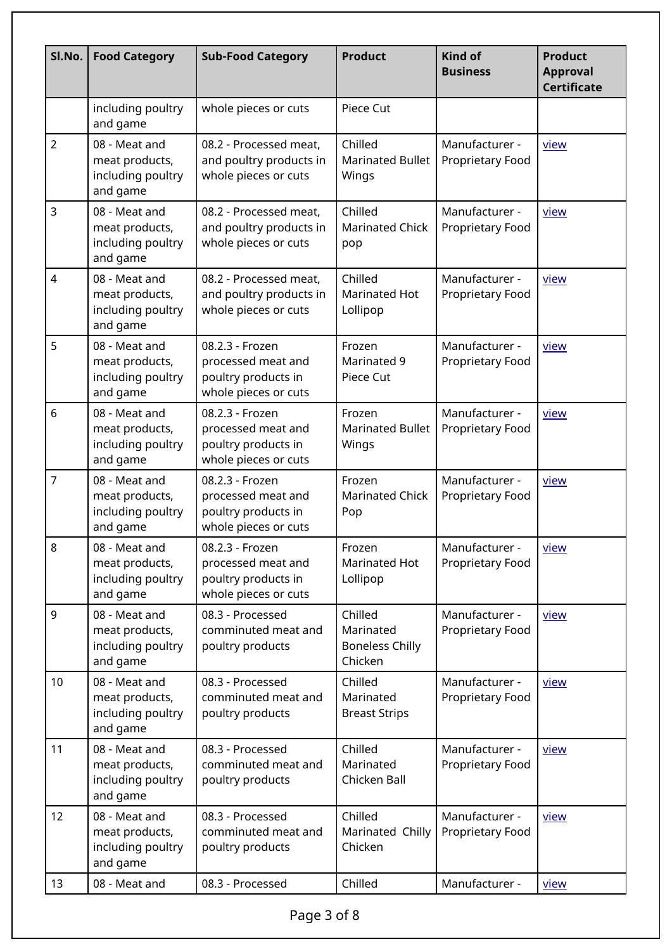| Sl.No.         | <b>Food Category</b>                                             | <b>Sub-Food Category</b>                                                             | <b>Product</b>                                            | <b>Kind of</b><br><b>Business</b>  | <b>Product</b><br><b>Approval</b><br><b>Certificate</b> |  |
|----------------|------------------------------------------------------------------|--------------------------------------------------------------------------------------|-----------------------------------------------------------|------------------------------------|---------------------------------------------------------|--|
|                | including poultry<br>and game                                    | whole pieces or cuts                                                                 | Piece Cut                                                 |                                    |                                                         |  |
| $\overline{2}$ | 08 - Meat and<br>meat products,<br>including poultry<br>and game | 08.2 - Processed meat,<br>and poultry products in<br>whole pieces or cuts            | Chilled<br><b>Marinated Bullet</b><br>Wings               | Manufacturer -<br>Proprietary Food | view                                                    |  |
| $\overline{3}$ | 08 - Meat and<br>meat products,<br>including poultry<br>and game | 08.2 - Processed meat,<br>and poultry products in<br>whole pieces or cuts            | Chilled<br><b>Marinated Chick</b><br>pop                  | Manufacturer -<br>Proprietary Food | view                                                    |  |
| 4              | 08 - Meat and<br>meat products,<br>including poultry<br>and game | 08.2 - Processed meat,<br>and poultry products in<br>whole pieces or cuts            | Chilled<br><b>Marinated Hot</b><br>Lollipop               | Manufacturer -<br>Proprietary Food | view                                                    |  |
| 5              | 08 - Meat and<br>meat products,<br>including poultry<br>and game | 08.2.3 - Frozen<br>processed meat and<br>poultry products in<br>whole pieces or cuts | Frozen<br>Marinated 9<br>Piece Cut                        | Manufacturer -<br>Proprietary Food | view                                                    |  |
| 6              | 08 - Meat and<br>meat products,<br>including poultry<br>and game | 08.2.3 - Frozen<br>processed meat and<br>poultry products in<br>whole pieces or cuts | Frozen<br><b>Marinated Bullet</b><br>Wings                | Manufacturer -<br>Proprietary Food | view                                                    |  |
| $\overline{7}$ | 08 - Meat and<br>meat products,<br>including poultry<br>and game | 08.2.3 - Frozen<br>processed meat and<br>poultry products in<br>whole pieces or cuts | Frozen<br><b>Marinated Chick</b><br>Pop                   | Manufacturer -<br>Proprietary Food | view                                                    |  |
| 8              | 08 - Meat and<br>meat products,<br>including poultry<br>and game | 08.2.3 - Frozen<br>processed meat and<br>poultry products in<br>whole pieces or cuts | Frozen<br>Marinated Hot<br>Lollipop                       | Manufacturer -<br>Proprietary Food | view                                                    |  |
| 9              | 08 - Meat and<br>meat products,<br>including poultry<br>and game | 08.3 - Processed<br>comminuted meat and<br>poultry products                          | Chilled<br>Marinated<br><b>Boneless Chilly</b><br>Chicken | Manufacturer -<br>Proprietary Food | view                                                    |  |
| 10             | 08 - Meat and<br>meat products,<br>including poultry<br>and game | 08.3 - Processed<br>comminuted meat and<br>poultry products                          | Chilled<br>Marinated<br><b>Breast Strips</b>              | Manufacturer -<br>Proprietary Food | view                                                    |  |
| 11             | 08 - Meat and<br>meat products,<br>including poultry<br>and game | 08.3 - Processed<br>comminuted meat and<br>poultry products                          | Chilled<br>Marinated<br>Chicken Ball                      | Manufacturer -<br>Proprietary Food | <u>view</u>                                             |  |
| 12             | 08 - Meat and<br>meat products,<br>including poultry<br>and game | 08.3 - Processed<br>comminuted meat and<br>poultry products                          | Chilled<br>Marinated Chilly<br>Chicken                    | Manufacturer -<br>Proprietary Food | view                                                    |  |
| 13             | 08 - Meat and                                                    | 08.3 - Processed                                                                     | Chilled                                                   | Manufacturer -                     | <u>view</u>                                             |  |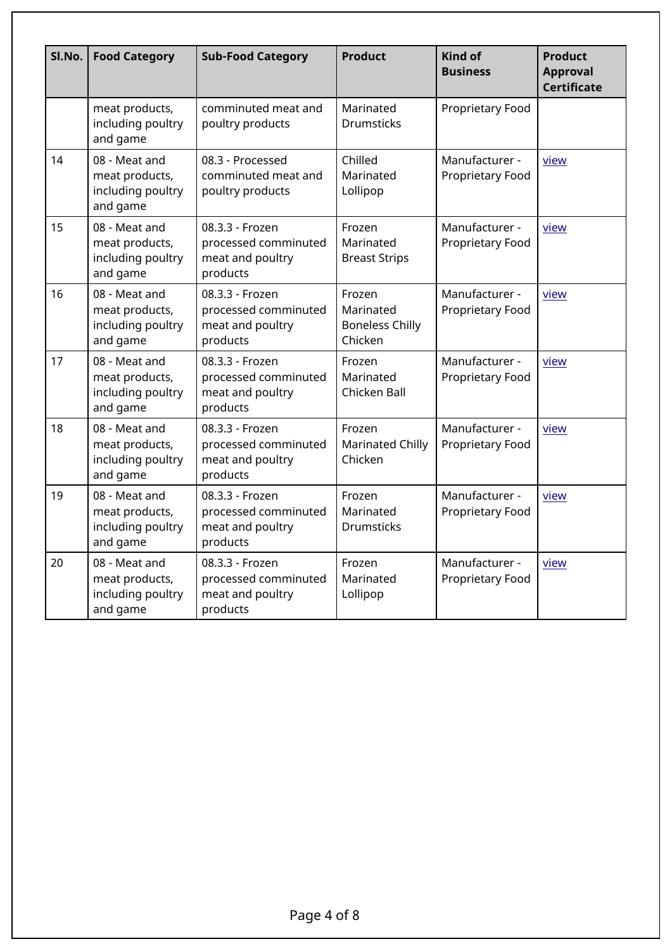| SI.No. | <b>Food Category</b><br><b>Sub-Food Category</b>                 |                                                                         | <b>Product</b>                                           | Kind of<br><b>Business</b>         | <b>Product</b><br><b>Approval</b><br><b>Certificate</b> |  |
|--------|------------------------------------------------------------------|-------------------------------------------------------------------------|----------------------------------------------------------|------------------------------------|---------------------------------------------------------|--|
|        | meat products,<br>including poultry<br>and game                  | comminuted meat and<br>poultry products                                 | Marinated<br><b>Drumsticks</b>                           | Proprietary Food                   |                                                         |  |
| 14     | 08 - Meat and<br>meat products,<br>including poultry<br>and game | 08.3 - Processed<br>comminuted meat and<br>poultry products             | Chilled<br>Marinated<br>Lollipop                         | Manufacturer -<br>Proprietary Food | view                                                    |  |
| 15     | 08 - Meat and<br>meat products,<br>including poultry<br>and game | 08.3.3 - Frozen<br>processed comminuted<br>meat and poultry<br>products | Frozen<br>Marinated<br><b>Breast Strips</b>              | Manufacturer -<br>Proprietary Food | view                                                    |  |
| 16     | 08 - Meat and<br>meat products,<br>including poultry<br>and game | 08.3.3 - Frozen<br>processed comminuted<br>meat and poultry<br>products | Frozen<br>Marinated<br><b>Boneless Chilly</b><br>Chicken | Manufacturer -<br>Proprietary Food | view                                                    |  |
| 17     | 08 - Meat and<br>meat products,<br>including poultry<br>and game | 08.3.3 - Frozen<br>processed comminuted<br>meat and poultry<br>products | Frozen<br>Marinated<br>Chicken Ball                      | Manufacturer -<br>Proprietary Food | view                                                    |  |
| 18     | 08 - Meat and<br>meat products,<br>including poultry<br>and game | 08.3.3 - Frozen<br>processed comminuted<br>meat and poultry<br>products | Frozen<br><b>Marinated Chilly</b><br>Chicken             | Manufacturer -<br>Proprietary Food | <u>view</u>                                             |  |
| 19     | 08 - Meat and<br>meat products,<br>including poultry<br>and game | 08.3.3 - Frozen<br>processed comminuted<br>meat and poultry<br>products | Frozen<br>Marinated<br><b>Drumsticks</b>                 | Manufacturer -<br>Proprietary Food | view                                                    |  |
| 20     | 08 - Meat and<br>meat products,<br>including poultry<br>and game | 08.3.3 - Frozen<br>processed comminuted<br>meat and poultry<br>products | Frozen<br>Marinated<br>Lollipop                          | Manufacturer -<br>Proprietary Food | view                                                    |  |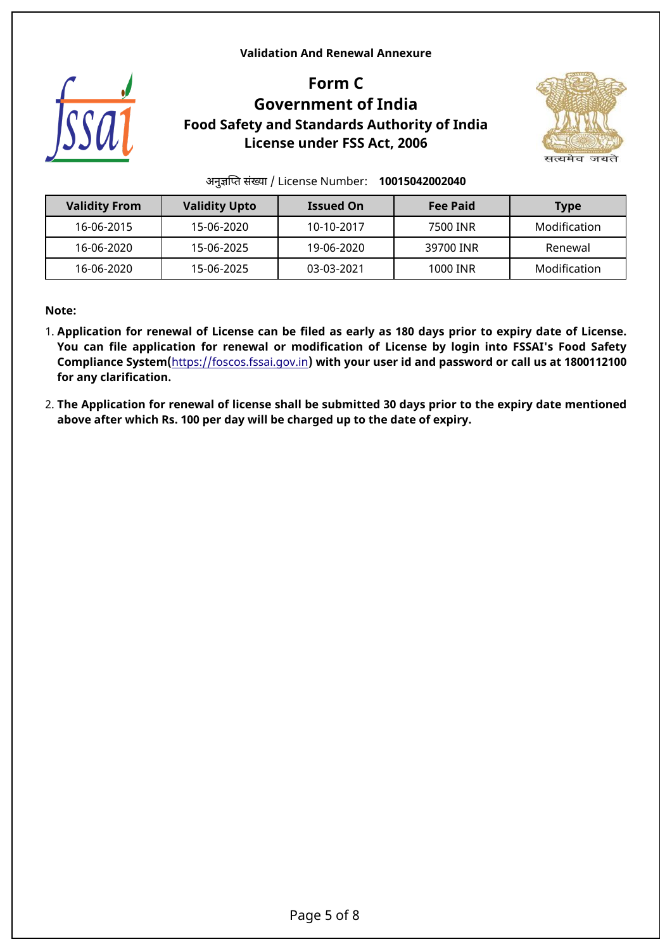#### <span id="page-4-0"></span>**Validation And Renewal Annexure**



# **Form C Government of India Food Safety and Standards Authority of India License under FSS Act, 2006**



अनुजिपत संखया / License Number: **10015042002040**

| <b>Validity From</b> | <b>Validity Upto</b> | <b>Issued On</b> | <b>Fee Paid</b> | <b>Type</b>  |
|----------------------|----------------------|------------------|-----------------|--------------|
| 16-06-2015           | 15-06-2020           | 10-10-2017       | 7500 INR        | Modification |
| 16-06-2020           | 15-06-2025           | 19-06-2020       | 39700 INR       | Renewal      |
| 16-06-2020           | 15-06-2025           | 03-03-2021       | 1000 INR        | Modification |

**Note:**

- 1. **Application for renewal of License can be filed as early as 180 days prior to expiry date of License. You can file application for renewal or modification of License by login into FSSAI's Food Safety Compliance System(**<https://foscos.fssai.gov.in>**) with your user id and password or call us at 1800112100 for any clarification.**
- 2. **The Application for renewal of license shall be submitted 30 days prior to the expiry date mentioned above after which Rs. 100 per day will be charged up to the date of expiry.**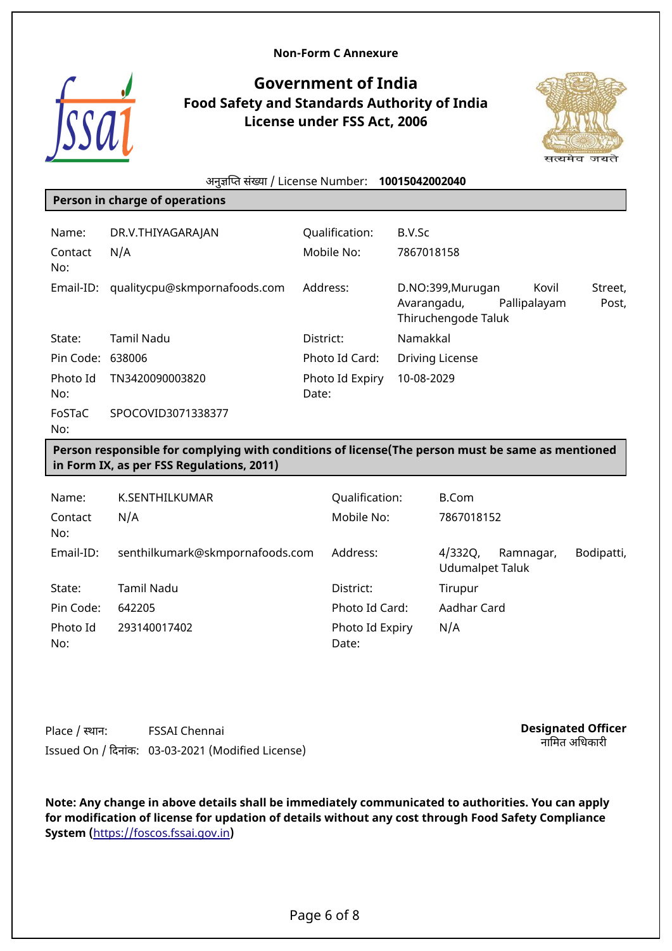#### <span id="page-5-0"></span>**Non-Form C Annexure**



## **Government of India Food Safety and Standards Authority of India License under FSS Act, 2006**



|                  | अनुज्ञप्ति संख्या / License Number:                                                                                                            |           |                          | 10015042002040 |                                          |              |       |                  |
|------------------|------------------------------------------------------------------------------------------------------------------------------------------------|-----------|--------------------------|----------------|------------------------------------------|--------------|-------|------------------|
|                  | Person in charge of operations                                                                                                                 |           |                          |                |                                          |              |       |                  |
| Name:            | DR.V.THIYAGARAJAN                                                                                                                              |           | Qualification:           | B.V.Sc         |                                          |              |       |                  |
| Contact<br>No:   | N/A                                                                                                                                            |           | Mobile No:               | 7867018158     |                                          |              |       |                  |
| Email-ID:        | qualitycpu@skmpornafoods.com                                                                                                                   |           | Address:                 | Avarangadu,    | D.NO:399, Murugan<br>Thiruchengode Taluk | Pallipalayam | Kovil | Street,<br>Post, |
| State:           | <b>Tamil Nadu</b>                                                                                                                              | District: |                          | Namakkal       |                                          |              |       |                  |
| Pin Code: 638006 |                                                                                                                                                |           | Photo Id Card:           |                | <b>Driving License</b>                   |              |       |                  |
| Photo Id<br>No:  | TN3420090003820                                                                                                                                | Date:     | Photo Id Expiry          | 10-08-2029     |                                          |              |       |                  |
| FoSTaC<br>No:    | SPOCOVID3071338377                                                                                                                             |           |                          |                |                                          |              |       |                  |
|                  | Person responsible for complying with conditions of license (The person must be same as mentioned<br>in Form IX, as per FSS Regulations, 2011) |           |                          |                |                                          |              |       |                  |
| Name:            | K.SENTHILKUMAR                                                                                                                                 |           | Qualification:           |                | <b>B.Com</b>                             |              |       |                  |
| Contact<br>No:   | N/A                                                                                                                                            |           | Mobile No:               |                | 7867018152                               |              |       |                  |
| Email-ID:        | senthilkumark@skmpornafoods.com                                                                                                                |           | Address:                 |                | 4/332Q,<br><b>Udumalpet Taluk</b>        | Ramnagar,    |       | Bodipatti,       |
| State:           | <b>Tamil Nadu</b>                                                                                                                              |           | District:                |                | Tirupur                                  |              |       |                  |
| Pin Code:        | 642205                                                                                                                                         |           | Photo Id Card:           |                | Aadhar Card                              |              |       |                  |
| Photo Id<br>No:  | 293140017402                                                                                                                                   |           | Photo Id Expiry<br>Date: |                | N/A                                      |              |       |                  |

Place / सान: FSSAI Chennai Issued On / िदनांक: 03-03-2021 (Modified License) **Designated Officer** ..**........**<br>नामित अधिकारी

**Note: Any change in above details shall be immediately communicated to authorities. You can apply for modification of license for updation of details without any cost through Food Safety Compliance System (**<https://foscos.fssai.gov.in>**)**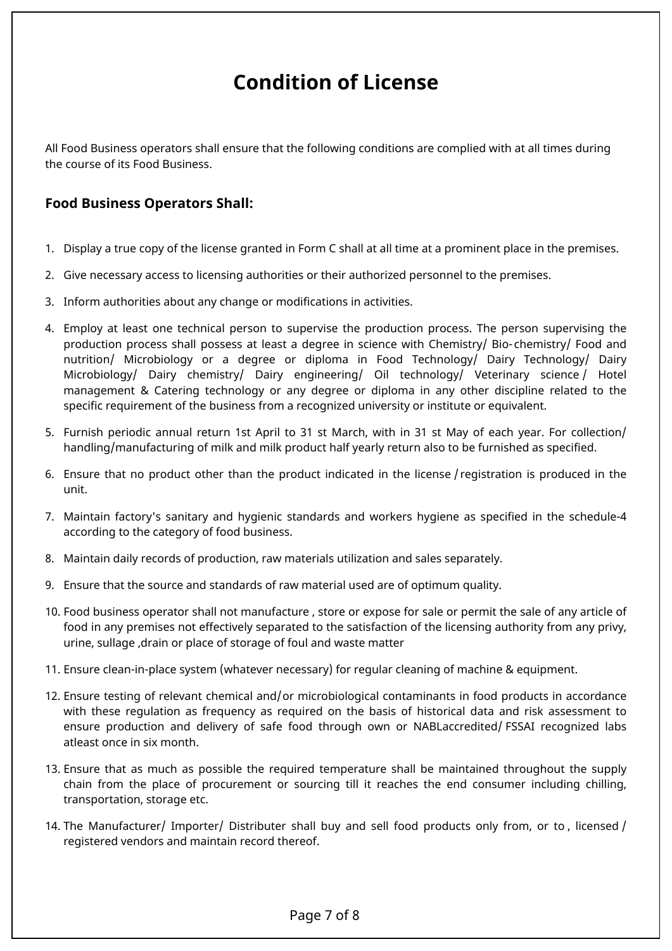# <span id="page-6-0"></span>**Condition of License**

All Food Business operators shall ensure that the following conditions are complied with at all times during the course of its Food Business.

## **Food Business Operators Shall:**

- 1. Display a true copy of the license granted in Form C shall at all time at a prominent place in the premises.
- 2. Give necessary access to licensing authorities or their authorized personnel to the premises.
- 3. Inform authorities about any change or modifications in activities.
- 4. Employ at least one technical person to supervise the production process. The person supervising the production process shall possess at least a degree in science with Chemistry/ Bio- chemistry/ Food and nutrition/ Microbiology or a degree or diploma in Food Technology/ Dairy Technology/ Dairy Microbiology/ Dairy chemistry/ Dairy engineering/ Oil technology/ Veterinary science / Hotel management & Catering technology or any degree or diploma in any other discipline related to the specific requirement of the business from a recognized university or institute or equivalent.
- 5. Furnish periodic annual return 1st April to 31 st March, with in 31 st May of each year. For collection/ handling/manufacturing of milk and milk product half yearly return also to be furnished as specified.
- 6. Ensure that no product other than the product indicated in the license / registration is produced in the unit.
- 7. Maintain factory's sanitary and hygienic standards and workers hygiene as specified in the schedule-4 according to the category of food business.
- 8. Maintain daily records of production, raw materials utilization and sales separately.
- 9. Ensure that the source and standards of raw material used are of optimum quality.
- 10. Food business operator shall not manufacture , store or expose for sale or permit the sale of any article of food in any premises not effectively separated to the satisfaction of the licensing authority from any privy, urine, sullage ,drain or place of storage of foul and waste matter
- 11. Ensure clean-in-place system (whatever necessary) for regular cleaning of machine & equipment.
- 12. Ensure testing of relevant chemical and/or microbiological contaminants in food products in accordance with these regulation as frequency as required on the basis of historical data and risk assessment to ensure production and delivery of safe food through own or NABLaccredited/ FSSAI recognized labs atleast once in six month.
- 13. Ensure that as much as possible the required temperature shall be maintained throughout the supply chain from the place of procurement or sourcing till it reaches the end consumer including chilling, transportation, storage etc.
- 14. The Manufacturer/ Importer/ Distributer shall buy and sell food products only from, or to , licensed / registered vendors and maintain record thereof.